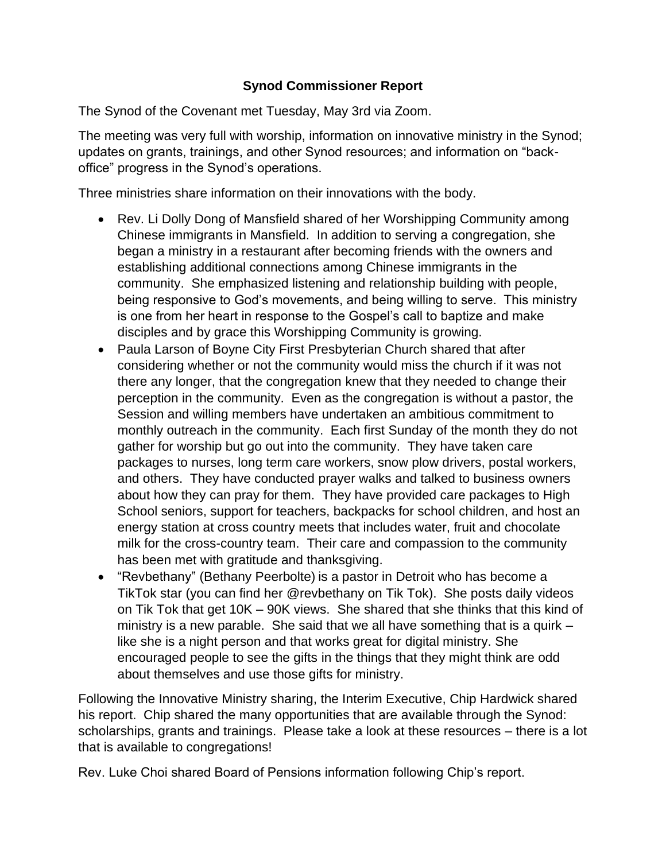## **Synod Commissioner Report**

The Synod of the Covenant met Tuesday, May 3rd via Zoom.

The meeting was very full with worship, information on innovative ministry in the Synod; updates on grants, trainings, and other Synod resources; and information on "backoffice" progress in the Synod's operations.

Three ministries share information on their innovations with the body.

- Rev. Li Dolly Dong of Mansfield shared of her Worshipping Community among Chinese immigrants in Mansfield. In addition to serving a congregation, she began a ministry in a restaurant after becoming friends with the owners and establishing additional connections among Chinese immigrants in the community. She emphasized listening and relationship building with people, being responsive to God's movements, and being willing to serve. This ministry is one from her heart in response to the Gospel's call to baptize and make disciples and by grace this Worshipping Community is growing.
- Paula Larson of Boyne City First Presbyterian Church shared that after considering whether or not the community would miss the church if it was not there any longer, that the congregation knew that they needed to change their perception in the community. Even as the congregation is without a pastor, the Session and willing members have undertaken an ambitious commitment to monthly outreach in the community. Each first Sunday of the month they do not gather for worship but go out into the community. They have taken care packages to nurses, long term care workers, snow plow drivers, postal workers, and others. They have conducted prayer walks and talked to business owners about how they can pray for them. They have provided care packages to High School seniors, support for teachers, backpacks for school children, and host an energy station at cross country meets that includes water, fruit and chocolate milk for the cross-country team. Their care and compassion to the community has been met with gratitude and thanksgiving.
- "Revbethany" (Bethany Peerbolte) is a pastor in Detroit who has become a TikTok star (you can find her @revbethany on Tik Tok). She posts daily videos on Tik Tok that get 10K – 90K views. She shared that she thinks that this kind of ministry is a new parable. She said that we all have something that is a quirk – like she is a night person and that works great for digital ministry. She encouraged people to see the gifts in the things that they might think are odd about themselves and use those gifts for ministry.

Following the Innovative Ministry sharing, the Interim Executive, Chip Hardwick shared his report. Chip shared the many opportunities that are available through the Synod: scholarships, grants and trainings. Please take a look at these resources – there is a lot that is available to congregations!

Rev. Luke Choi shared Board of Pensions information following Chip's report.